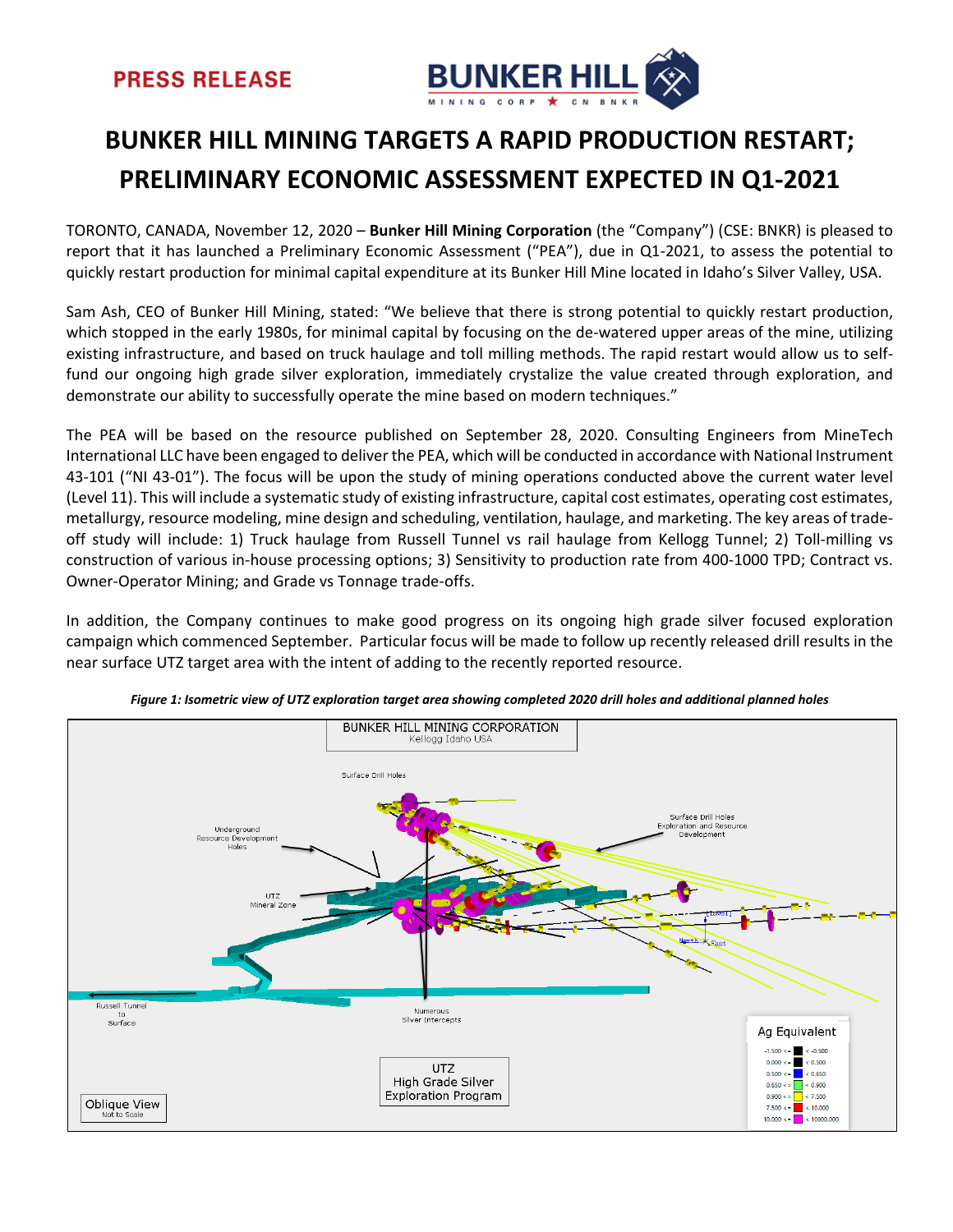

# **BUNKER HILL MINING TARGETS A RAPID PRODUCTION RESTART; PRELIMINARY ECONOMIC ASSESSMENT EXPECTED IN Q1-2021**

TORONTO, CANADA, November 12, 2020 – **Bunker Hill Mining Corporation** (the "Company") (CSE: BNKR) is pleased to report that it has launched a Preliminary Economic Assessment ("PEA"), due in Q1-2021, to assess the potential to quickly restart production for minimal capital expenditure at its Bunker Hill Mine located in Idaho's Silver Valley, USA.

Sam Ash, CEO of Bunker Hill Mining, stated: "We believe that there is strong potential to quickly restart production, which stopped in the early 1980s, for minimal capital by focusing on the de-watered upper areas of the mine, utilizing existing infrastructure, and based on truck haulage and toll milling methods. The rapid restart would allow us to selffund our ongoing high grade silver exploration, immediately crystalize the value created through exploration, and demonstrate our ability to successfully operate the mine based on modern techniques."

The PEA will be based on the resource published on September 28, 2020. Consulting Engineers from MineTech International LLC have been engaged to deliver the PEA, which will be conducted in accordance with National Instrument 43-101 ("NI 43-01"). The focus will be upon the study of mining operations conducted above the current water level (Level 11). This will include a systematic study of existing infrastructure, capital cost estimates, operating cost estimates, metallurgy, resource modeling, mine design and scheduling, ventilation, haulage, and marketing. The key areas of tradeoff study will include: 1) Truck haulage from Russell Tunnel vs rail haulage from Kellogg Tunnel; 2) Toll-milling vs construction of various in-house processing options; 3) Sensitivity to production rate from 400-1000 TPD; Contract vs. Owner-Operator Mining; and Grade vs Tonnage trade-offs.

In addition, the Company continues to make good progress on its ongoing high grade silver focused exploration campaign which commenced September. Particular focus will be made to follow up recently released drill results in the near surface UTZ target area with the intent of adding to the recently reported resource.



*Figure 1: Isometric view of UTZ exploration target area showing completed 2020 drill holes and additional planned holes*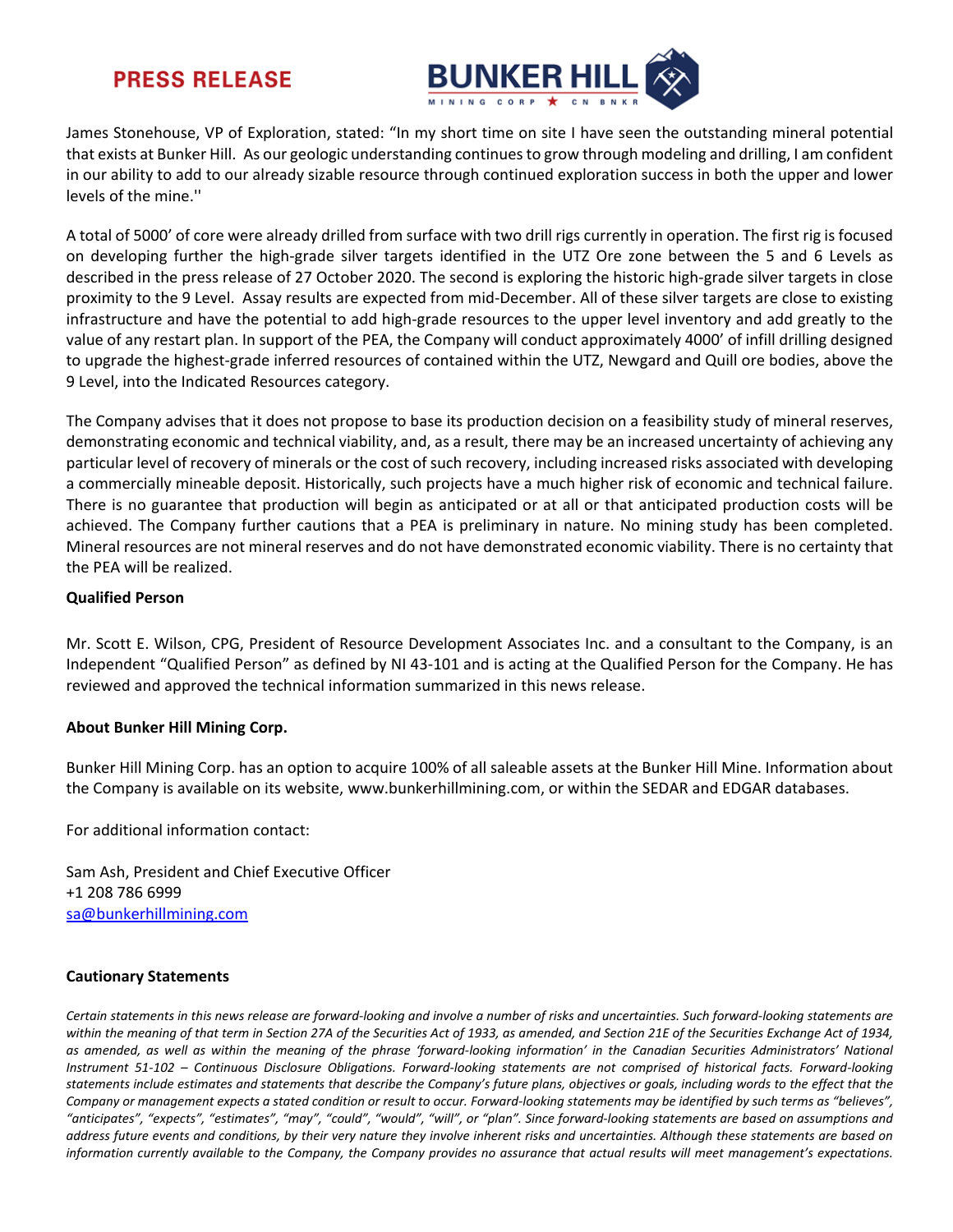### **PRESS RELEASE**



James Stonehouse, VP of Exploration, stated: "In my short time on site I have seen the outstanding mineral potential that exists at Bunker Hill. As our geologic understanding continues to grow through modeling and drilling, I am confident in our ability to add to our already sizable resource through continued exploration success in both the upper and lower levels of the mine.''

A total of 5000' of core were already drilled from surface with two drill rigs currently in operation. The first rig is focused on developing further the high-grade silver targets identified in the UTZ Ore zone between the 5 and 6 Levels as described in the press release of 27 October 2020. The second is exploring the historic high-grade silver targets in close proximity to the 9 Level. Assay results are expected from mid-December. All of these silver targets are close to existing infrastructure and have the potential to add high-grade resources to the upper level inventory and add greatly to the value of any restart plan. In support of the PEA, the Company will conduct approximately 4000' of infill drilling designed to upgrade the highest-grade inferred resources of contained within the UTZ, Newgard and Quill ore bodies, above the 9 Level, into the Indicated Resources category.

The Company advises that it does not propose to base its production decision on a feasibility study of mineral reserves, demonstrating economic and technical viability, and, as a result, there may be an increased uncertainty of achieving any particular level of recovery of minerals or the cost of such recovery, including increased risks associated with developing a commercially mineable deposit. Historically, such projects have a much higher risk of economic and technical failure. There is no guarantee that production will begin as anticipated or at all or that anticipated production costs will be achieved. The Company further cautions that a PEA is preliminary in nature. No mining study has been completed. Mineral resources are not mineral reserves and do not have demonstrated economic viability. There is no certainty that the PEA will be realized.

#### **Qualified Person**

Mr. Scott E. Wilson, CPG, President of Resource Development Associates Inc. and a consultant to the Company, is an Independent "Qualified Person" as defined by NI 43-101 and is acting at the Qualified Person for the Company. He has reviewed and approved the technical information summarized in this news release.

### **About Bunker Hill Mining Corp.**

Bunker Hill Mining Corp. has an option to acquire 100% of all saleable assets at the Bunker Hill Mine. Information about the Company is available on its website, www.bunkerhillmining.com, or within the SEDAR and EDGAR databases.

For additional information contact:

Sam Ash, President and Chief Executive Officer +1 208 786 6999 [sa@bunkerhillmining.com](mailto:sa@bunkerhillmining.com)

### **Cautionary Statements**

*Certain statements in this news release are forward-looking and involve a number of risks and uncertainties. Such forward-looking statements are within the meaning of that term in Section 27A of the Securities Act of 1933, as amended, and Section 21E of the Securities Exchange Act of 1934, as amended, as well as within the meaning of the phrase 'forward-looking information' in the Canadian Securities Administrators' National Instrument 51-102 – Continuous Disclosure Obligations. Forward-looking statements are not comprised of historical facts. Forward-looking statements include estimates and statements that describe the Company's future plans, objectives or goals, including words to the effect that the Company or management expects a stated condition or result to occur. Forward-looking statements may be identified by such terms as "believes", "anticipates", "expects", "estimates", "may", "could", "would", "will", or "plan". Since forward-looking statements are based on assumptions and address future events and conditions, by their very nature they involve inherent risks and uncertainties. Although these statements are based on information currently available to the Company, the Company provides no assurance that actual results will meet management's expectations.*